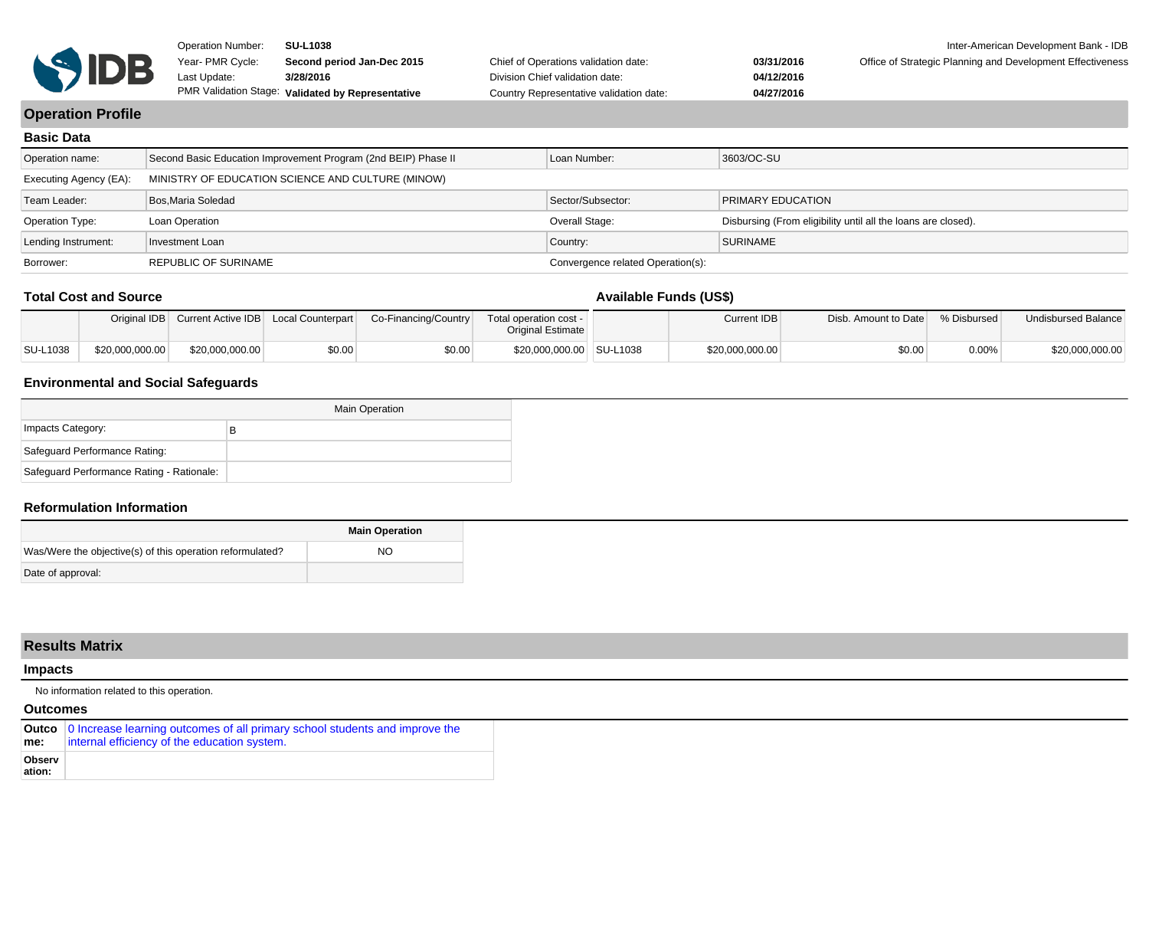

**03/31/2016 04/12/2016 04/27/2016** Office of Strategic Planning and Development Effectiveness

# **Operation Profile**

| <b>Basic Data</b>      |                                                                |                                   |                                                               |  |  |  |  |  |
|------------------------|----------------------------------------------------------------|-----------------------------------|---------------------------------------------------------------|--|--|--|--|--|
| Operation name:        | Second Basic Education Improvement Program (2nd BEIP) Phase II | Loan Number:                      | 3603/OC-SU                                                    |  |  |  |  |  |
| Executing Agency (EA): | MINISTRY OF EDUCATION SCIENCE AND CULTURE (MINOW)              |                                   |                                                               |  |  |  |  |  |
| Team Leader:           | Bos.Maria Soledad                                              | Sector/Subsector:                 | <b>PRIMARY EDUCATION</b>                                      |  |  |  |  |  |
| Operation Type:        | Loan Operation                                                 | Overall Stage:                    | Disbursing (From eligibility until all the loans are closed). |  |  |  |  |  |
| Lending Instrument:    | Investment Loan                                                | Country:                          | <b>SURINAME</b>                                               |  |  |  |  |  |
| Borrower:              | <b>REPUBLIC OF SURINAME</b>                                    | Convergence related Operation(s): |                                                               |  |  |  |  |  |

#### **Total Cost and Source**

# **Available Funds (US\$)**

|          |                 |                 |      | Original IDB Current Active IDB Local Counterpart Co-Financing/Country | Total operation cost -<br><b>Original Estimate</b> | Current IDB     | Disb. Amount to Date \ % Disbursed |       | Undisbursed Balance |
|----------|-----------------|-----------------|------|------------------------------------------------------------------------|----------------------------------------------------|-----------------|------------------------------------|-------|---------------------|
| SU-L1038 | \$20,000,000.00 | \$20,000,000.00 | 0.00 | \$0.00                                                                 | \$20,000,000.00 SU-L1038                           | \$20,000,000.00 | \$0.00                             | 0.00% | \$20,000,000.00     |

## **Environmental and Social Safeguards**

|                                           | <b>Main Operation</b> |
|-------------------------------------------|-----------------------|
| Impacts Category:                         | в                     |
| Safeguard Performance Rating:             |                       |
| Safeguard Performance Rating - Rationale: |                       |

## **Reformulation Information**

|                                                           | <b>Main Operation</b> |
|-----------------------------------------------------------|-----------------------|
| Was/Were the objective(s) of this operation reformulated? | NO.                   |
| Date of approval:                                         |                       |

|                  | <b>Results Matrix</b>                                                                                                             |  |  |  |  |  |
|------------------|-----------------------------------------------------------------------------------------------------------------------------------|--|--|--|--|--|
| <b>Impacts</b>   |                                                                                                                                   |  |  |  |  |  |
|                  | No information related to this operation.                                                                                         |  |  |  |  |  |
| <b>Outcomes</b>  |                                                                                                                                   |  |  |  |  |  |
| me:              | Outco 0 Increase learning outcomes of all primary school students and improve the<br>internal efficiency of the education system. |  |  |  |  |  |
| Observ<br>ation: |                                                                                                                                   |  |  |  |  |  |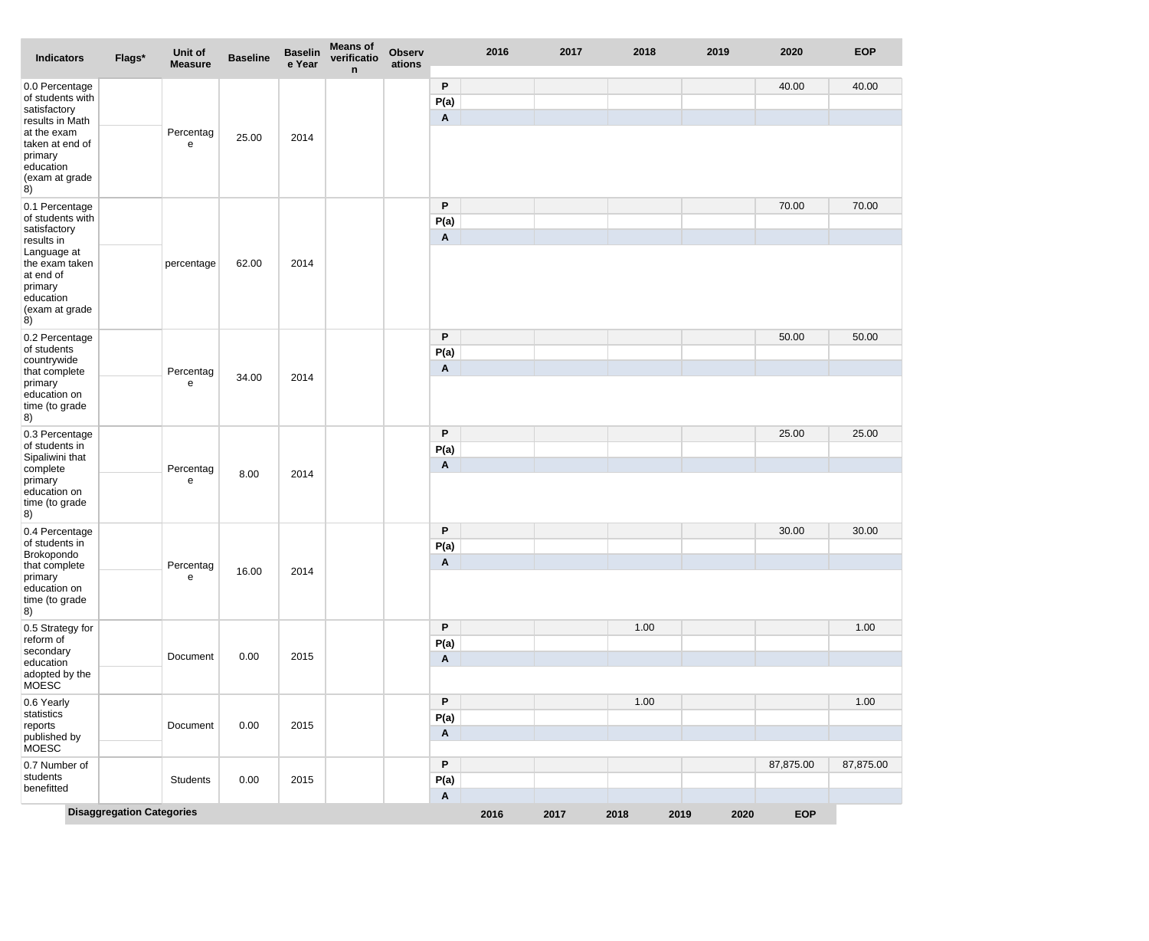| Indicators                                                                                               | Flags*                           | Unit of<br><b>Measure</b> | <b>Baseline</b> | <b>Baselin</b><br>e Year | <b>Means of</b><br>verificatio<br>n | <b>Observ</b><br>ations |                           | 2016 | 2017 | 2018 |      | 2019 | 2020       | <b>EOP</b> |
|----------------------------------------------------------------------------------------------------------|----------------------------------|---------------------------|-----------------|--------------------------|-------------------------------------|-------------------------|---------------------------|------|------|------|------|------|------------|------------|
| 0.0 Percentage<br>of students with<br>satisfactory                                                       |                                  |                           |                 |                          |                                     |                         | P<br>P(a)<br>Α            |      |      |      |      |      | 40.00      | 40.00      |
| results in Math<br>at the exam<br>taken at end of<br>primary<br>education<br>(exam at grade<br>8)        |                                  | Percentag<br>e            | 25.00           | 2014                     |                                     |                         |                           |      |      |      |      |      |            |            |
| 0.1 Percentage<br>of students with<br>satisfactory                                                       |                                  |                           |                 |                          |                                     |                         | P<br>P(a)                 |      |      |      |      |      | 70.00      | 70.00      |
| results in<br>Language at<br>the exam taken<br>at end of<br>primary<br>education<br>(exam at grade<br>8) |                                  | percentage                | 62.00           | 2014                     |                                     |                         | A                         |      |      |      |      |      |            |            |
| 0.2 Percentage<br>of students<br>countrywide                                                             |                                  |                           |                 |                          |                                     |                         | P<br>P(a)                 |      |      |      |      |      | 50.00      | 50.00      |
| that complete<br>primary<br>education on<br>time (to grade<br>8)                                         |                                  | Percentag<br>е            | 34.00           | 2014                     |                                     |                         | A                         |      |      |      |      |      |            |            |
| 0.3 Percentage<br>of students in<br>Sipaliwini that                                                      |                                  |                           |                 |                          |                                     |                         | P<br>P(a)                 |      |      |      |      |      | 25.00      | 25.00      |
| complete<br>primary<br>education on<br>time (to grade<br>8)                                              |                                  | Percentag<br>е            | 8.00            | 2014                     |                                     |                         | Α                         |      |      |      |      |      |            |            |
| 0.4 Percentage<br>of students in                                                                         |                                  |                           |                 |                          |                                     |                         | P<br>P(a)                 |      |      |      |      |      | 30.00      | 30.00      |
| Brokopondo<br>that complete<br>primary<br>education on<br>time (to grade<br>8)                           |                                  | Percentag<br>е            | 16.00           | 2014                     |                                     |                         | Α                         |      |      |      |      |      |            |            |
| 0.5 Strategy for<br>reform of                                                                            |                                  |                           |                 |                          |                                     |                         | P<br>P(a)                 |      |      | 1.00 |      |      |            | 1.00       |
| secondary<br>education<br>adopted by the<br><b>MOESC</b>                                                 |                                  | Document                  | 0.00            | 2015                     |                                     |                         | Α                         |      |      |      |      |      |            |            |
| 0.6 Yearly<br>statistics<br>reports<br>published by<br>MOESC                                             |                                  | Document                  | 0.00            | 2015                     |                                     |                         | P<br>P(a)<br>Α            |      |      | 1.00 |      |      |            | 1.00       |
| 0.7 Number of<br>students<br>benefitted                                                                  |                                  | Students                  | 0.00            | 2015                     |                                     |                         | P<br>P(a)                 |      |      |      |      |      | 87,875.00  | 87,875.00  |
|                                                                                                          | <b>Disaggregation Categories</b> |                           |                 |                          |                                     |                         | $\boldsymbol{\mathsf{A}}$ | 2016 | 2017 | 2018 | 2019 | 2020 | <b>EOP</b> |            |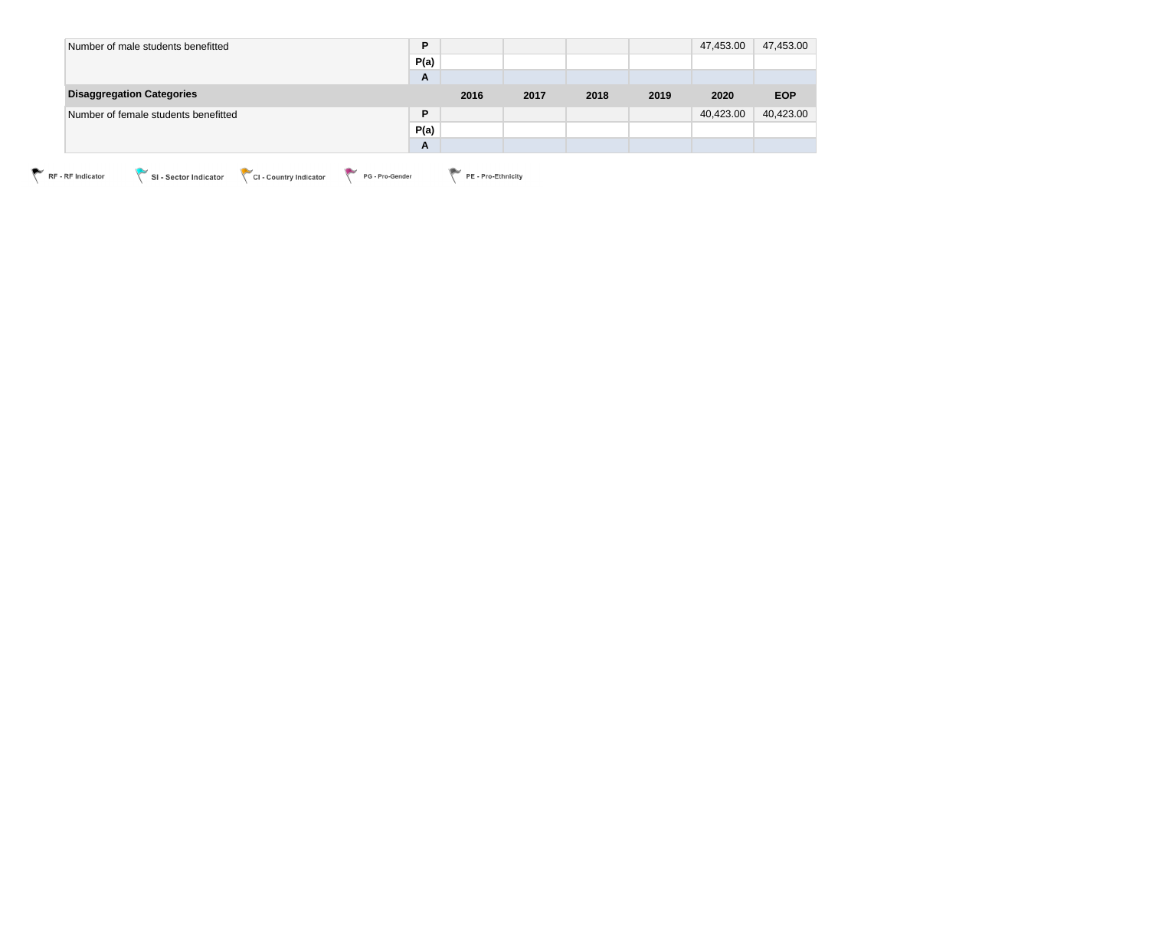| Number of male students benefitted   | P    |      |      |      |      | 47,453.00 | 47,453.00  |
|--------------------------------------|------|------|------|------|------|-----------|------------|
|                                      | P(a) |      |      |      |      |           |            |
|                                      | A    |      |      |      |      |           |            |
| <b>Disaggregation Categories</b>     |      | 2016 | 2017 | 2018 | 2019 | 2020      | <b>EOP</b> |
| Number of female students benefitted | P    |      |      |      |      | 40,423.00 | 40,423.00  |
|                                      | P(a) |      |      |      |      |           |            |
|                                      | A    |      |      |      |      |           |            |

RF - RF Indicator CI - Sector Indicator CI - Country Indicator PG - Pro-Gender PE - Pro-Ethnicity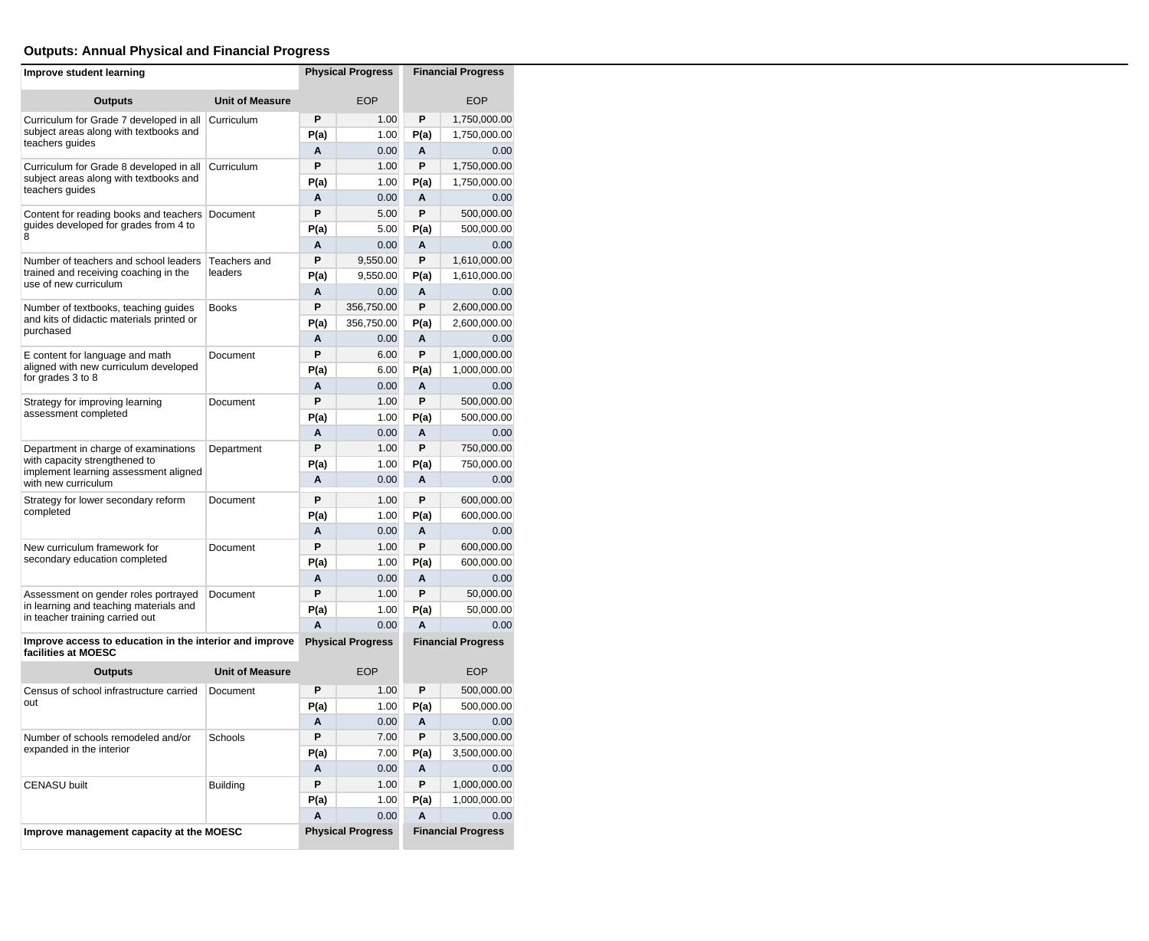# **Outputs: Annual Physical and Financial Progress**

| Improve student learning                                                       |                        | <b>Physical Progress</b>                              | <b>Financial Progress</b> |                           |              |  |
|--------------------------------------------------------------------------------|------------------------|-------------------------------------------------------|---------------------------|---------------------------|--------------|--|
| <b>Outputs</b>                                                                 | <b>Unit of Measure</b> |                                                       | <b>EOP</b>                |                           | <b>EOP</b>   |  |
| Curriculum for Grade 7 developed in all                                        | Curriculum             | P                                                     | 1.00                      | P                         | 1,750,000.00 |  |
| subject areas along with textbooks and<br>teachers guides                      |                        | P(a)                                                  | 1.00                      | P(a)                      | 1,750,000.00 |  |
|                                                                                |                        | A                                                     | 0.00                      | A                         | 0.00         |  |
| Curriculum for Grade 8 developed in all                                        | Curriculum             | P                                                     | 1.00                      | P                         | 1,750,000.00 |  |
| subject areas along with textbooks and<br>teachers guides                      |                        | P(a)                                                  | 1.00                      | P(a)                      | 1,750,000.00 |  |
|                                                                                |                        | A                                                     | 0.00                      | A                         | 0.00         |  |
| Content for reading books and teachers                                         | Document               | P                                                     | 5.00                      | P                         | 500,000.00   |  |
| quides developed for grades from 4 to<br>8                                     |                        | P(a)                                                  | 5.00                      | P(a)                      | 500,000.00   |  |
|                                                                                |                        | A                                                     | 0.00                      | A                         | 0.00         |  |
| Number of teachers and school leaders                                          | Teachers and           | P                                                     | 9,550.00                  | P                         | 1,610,000.00 |  |
| trained and receiving coaching in the<br>use of new curriculum                 | leaders                | P(a)                                                  | 9,550.00                  | P(a)                      | 1,610,000.00 |  |
|                                                                                |                        | A                                                     | 0.00                      | Α                         | 0.00         |  |
| Number of textbooks, teaching guides                                           | <b>Books</b>           | P                                                     | 356,750.00                | P                         | 2,600,000.00 |  |
| and kits of didactic materials printed or<br>purchased                         |                        | P(a)                                                  | 356,750.00                | P(a)                      | 2,600,000.00 |  |
|                                                                                |                        | A                                                     | 0.00                      | A                         | 0.00         |  |
| E content for language and math<br>aligned with new curriculum developed       | Document               | P                                                     | 6.00                      | P                         | 1,000,000.00 |  |
| for grades 3 to 8                                                              |                        | P(a)                                                  | 6.00                      | P(a)                      | 1,000,000.00 |  |
|                                                                                |                        | Α                                                     | 0.00                      | Α                         | 0.00         |  |
| Strategy for improving learning<br>assessment completed                        | Document               | P                                                     | 1.00                      | P                         | 500,000.00   |  |
|                                                                                |                        | P(a)                                                  | 1.00                      | P(a)                      | 500,000.00   |  |
|                                                                                |                        | A                                                     | 0.00                      | A                         | 0.00         |  |
| Department in charge of examinations<br>with capacity strengthened to          | Department             | P                                                     | 1.00                      | P                         | 750,000.00   |  |
| implement learning assessment aligned                                          |                        | P(a)                                                  | 1.00                      | P(a)                      | 750,000.00   |  |
| with new curriculum                                                            |                        | A                                                     | 0.00                      | A                         | 0.00         |  |
| Strategy for lower secondary reform                                            | Document               | P                                                     | 1.00                      | Ρ                         | 600,000.00   |  |
| completed                                                                      |                        | P(a)                                                  | 1.00                      | P(a)                      | 600,000.00   |  |
|                                                                                |                        | A                                                     | 0.00                      | A                         | 0.00         |  |
| New curriculum framework for                                                   | Document               | P                                                     | 1.00                      | P                         | 600,000.00   |  |
| secondary education completed                                                  |                        | P(a)                                                  | 1.00                      | P(a)                      | 600,000.00   |  |
|                                                                                |                        | Α                                                     | 0.00                      | A                         | 0.00         |  |
| Assessment on gender roles portrayed<br>in learning and teaching materials and | Document               | P                                                     | 1.00                      | P                         | 50,000.00    |  |
| in teacher training carried out                                                |                        | P(a)                                                  | 1.00                      | P(a)                      | 50,000.00    |  |
|                                                                                |                        | A                                                     | 0.00                      | A                         | 0.00         |  |
| Improve access to education in the interior and improve<br>facilities at MOESC |                        | <b>Physical Progress</b><br><b>Financial Progress</b> |                           |                           |              |  |
| <b>Outputs</b>                                                                 | <b>Unit of Measure</b> |                                                       | <b>EOP</b>                |                           | <b>EOP</b>   |  |
| Census of school infrastructure carried                                        | Document               | P                                                     | 1.00                      | P                         | 500,000.00   |  |
| out                                                                            |                        | P(a)                                                  | 1.00                      | P(a)                      | 500,000.00   |  |
|                                                                                |                        | A                                                     | 0.00                      | A                         | 0.00         |  |
| Number of schools remodeled and/or                                             | Schools                | P                                                     | 7.00                      | P                         | 3,500,000.00 |  |
| expanded in the interior                                                       |                        | P(a)                                                  | 7.00                      | P(a)                      | 3,500,000.00 |  |
|                                                                                |                        | Α                                                     | 0.00                      | Α                         | 0.00         |  |
| <b>CENASU built</b>                                                            | Building               | P                                                     | 1.00                      | P                         | 1,000,000.00 |  |
|                                                                                |                        | P(a)                                                  | 1.00                      | P(a)                      | 1,000,000.00 |  |
|                                                                                |                        | A                                                     | 0.00                      | A                         | 0.00         |  |
| Improve management capacity at the MOESC                                       |                        | <b>Physical Progress</b>                              |                           | <b>Financial Progress</b> |              |  |